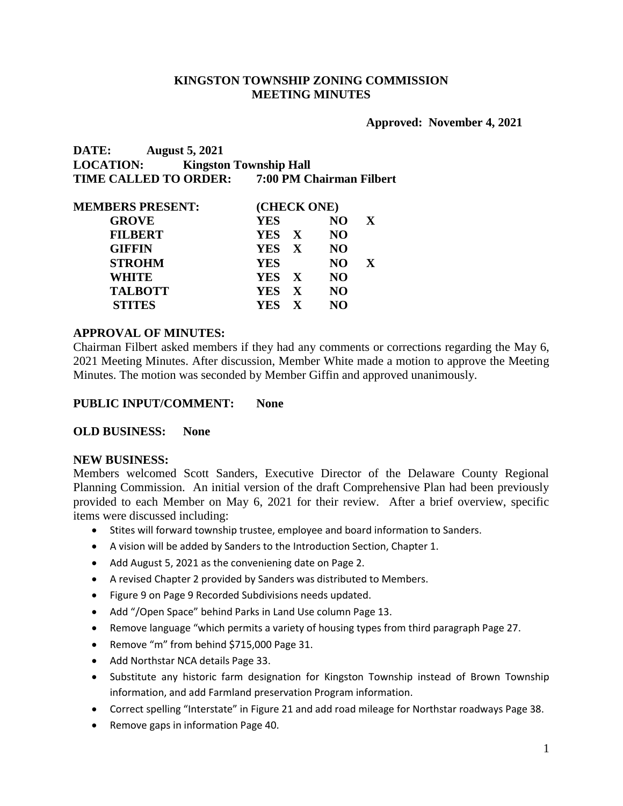## **KINGSTON TOWNSHIP ZONING COMMISSION MEETING MINUTES**

### **Approved: November 4, 2021**

**DATE: August 5, 2021 LOCATION: Kingston Township Hall TIME CALLED TO ORDER: 7:00 PM Chairman Filbert**

| <b>MEMBERS PRESENT:</b> | (CHECK ONE)                |           |              |  |
|-------------------------|----------------------------|-----------|--------------|--|
| <b>GROVE</b>            | <b>YES</b>                 | NO.       | $\mathbf{X}$ |  |
| <b>FILBERT</b>          | YES X                      | <b>NO</b> |              |  |
| <b>GIFFIN</b>           | YES X                      | <b>NO</b> |              |  |
| <b>STROHM</b>           | <b>YES</b>                 | NO.       | X            |  |
| WHITE                   | YES X                      | <b>NO</b> |              |  |
| <b>TALBOTT</b>          | YES X                      | NO.       |              |  |
| <b>STITES</b>           | <b>YES</b><br>$\mathbf{X}$ | NO.       |              |  |

## **APPROVAL OF MINUTES:**

Chairman Filbert asked members if they had any comments or corrections regarding the May 6, 2021 Meeting Minutes. After discussion, Member White made a motion to approve the Meeting Minutes. The motion was seconded by Member Giffin and approved unanimously.

### **PUBLIC INPUT/COMMENT: None**

### **OLD BUSINESS: None**

#### **NEW BUSINESS:**

Members welcomed Scott Sanders, Executive Director of the Delaware County Regional Planning Commission. An initial version of the draft Comprehensive Plan had been previously provided to each Member on May 6, 2021 for their review. After a brief overview, specific items were discussed including:

- Stites will forward township trustee, employee and board information to Sanders.
- A vision will be added by Sanders to the Introduction Section, Chapter 1.
- Add August 5, 2021 as the conveniening date on Page 2.
- A revised Chapter 2 provided by Sanders was distributed to Members.
- Figure 9 on Page 9 Recorded Subdivisions needs updated.
- Add "/Open Space" behind Parks in Land Use column Page 13.
- Remove language "which permits a variety of housing types from third paragraph Page 27.
- Remove "m" from behind \$715,000 Page 31.
- Add Northstar NCA details Page 33.
- Substitute any historic farm designation for Kingston Township instead of Brown Township information, and add Farmland preservation Program information.
- Correct spelling "Interstate" in Figure 21 and add road mileage for Northstar roadways Page 38.
- Remove gaps in information Page 40.